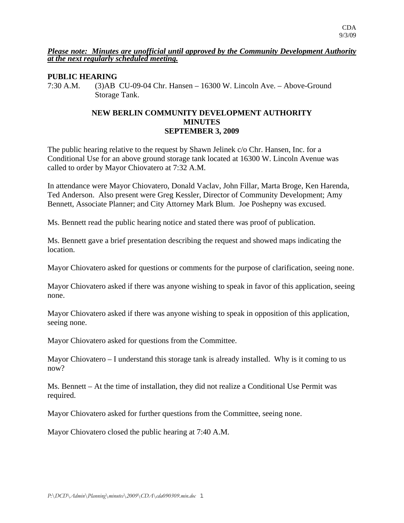#### *Please note: Minutes are unofficial until approved by the Community Development Authority at the next regularly scheduled meeting.*

### **PUBLIC HEARING**

7:30 A.M. (3)AB CU-09-04 Chr. Hansen – 16300 W. Lincoln Ave. – Above-Ground Storage Tank.

## **NEW BERLIN COMMUNITY DEVELOPMENT AUTHORITY MINUTES SEPTEMBER 3, 2009**

The public hearing relative to the request by Shawn Jelinek c/o Chr. Hansen, Inc. for a Conditional Use for an above ground storage tank located at 16300 W. Lincoln Avenue was called to order by Mayor Chiovatero at 7:32 A.M.

In attendance were Mayor Chiovatero, Donald Vaclav, John Fillar, Marta Broge, Ken Harenda, Ted Anderson. Also present were Greg Kessler, Director of Community Development; Amy Bennett, Associate Planner; and City Attorney Mark Blum. Joe Poshepny was excused.

Ms. Bennett read the public hearing notice and stated there was proof of publication.

Ms. Bennett gave a brief presentation describing the request and showed maps indicating the location.

Mayor Chiovatero asked for questions or comments for the purpose of clarification, seeing none.

Mayor Chiovatero asked if there was anyone wishing to speak in favor of this application, seeing none.

Mayor Chiovatero asked if there was anyone wishing to speak in opposition of this application, seeing none.

Mayor Chiovatero asked for questions from the Committee.

Mayor Chiovatero – I understand this storage tank is already installed. Why is it coming to us now?

Ms. Bennett – At the time of installation, they did not realize a Conditional Use Permit was required.

Mayor Chiovatero asked for further questions from the Committee, seeing none.

Mayor Chiovatero closed the public hearing at 7:40 A.M.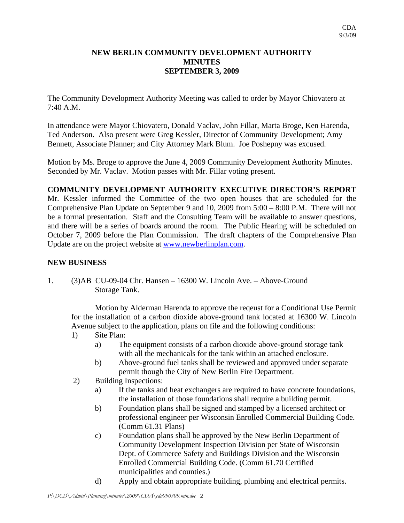## **NEW BERLIN COMMUNITY DEVELOPMENT AUTHORITY MINUTES SEPTEMBER 3, 2009**

The Community Development Authority Meeting was called to order by Mayor Chiovatero at 7:40 A.M.

In attendance were Mayor Chiovatero, Donald Vaclav, John Fillar, Marta Broge, Ken Harenda, Ted Anderson. Also present were Greg Kessler, Director of Community Development; Amy Bennett, Associate Planner; and City Attorney Mark Blum. Joe Poshepny was excused.

Motion by Ms. Broge to approve the June 4, 2009 Community Development Authority Minutes. Seconded by Mr. Vaclav. Motion passes with Mr. Fillar voting present.

# **COMMUNITY DEVELOPMENT AUTHORITY EXECUTIVE DIRECTOR'S REPORT**

Mr. Kessler informed the Committee of the two open houses that are scheduled for the Comprehensive Plan Update on September 9 and 10, 2009 from 5:00 – 8:00 P.M. There will not be a formal presentation. Staff and the Consulting Team will be available to answer questions, and there will be a series of boards around the room. The Public Hearing will be scheduled on October 7, 2009 before the Plan Commission. The draft chapters of the Comprehensive Plan Update are on the project website at www.newberlinplan.com.

### **NEW BUSINESS**

1. (3)AB CU-09-04 Chr. Hansen – 16300 W. Lincoln Ave. – Above-Ground Storage Tank.

 Motion by Alderman Harenda to approve the reqeust for a Conditional Use Permit for the installation of a carbon dioxide above-ground tank located at 16300 W. Lincoln Avenue subject to the application, plans on file and the following conditions:

- 1) Site Plan:
	- a) The equipment consists of a carbon dioxide above-ground storage tank with all the mechanicals for the tank within an attached enclosure.
	- b) Above-ground fuel tanks shall be reviewed and approved under separate permit though the City of New Berlin Fire Department.
- 2) Building Inspections:
	- a) If the tanks and heat exchangers are required to have concrete foundations, the installation of those foundations shall require a building permit.
	- b) Foundation plans shall be signed and stamped by a licensed architect or professional engineer per Wisconsin Enrolled Commercial Building Code. (Comm 61.31 Plans)
	- c) Foundation plans shall be approved by the New Berlin Department of Community Development Inspection Division per State of Wisconsin Dept. of Commerce Safety and Buildings Division and the Wisconsin Enrolled Commercial Building Code. (Comm 61.70 Certified municipalities and counties.)
	- d) Apply and obtain appropriate building, plumbing and electrical permits.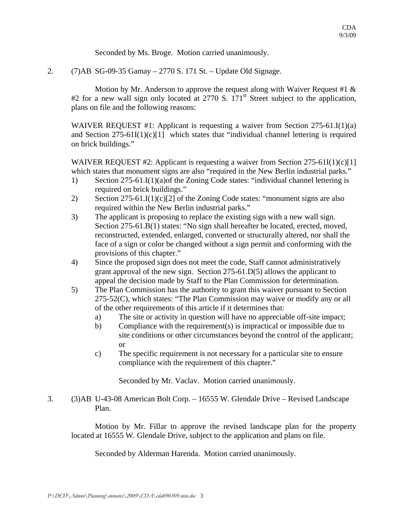Seconded by Ms. Broge. Motion carried unanimously.

2. (7)AB SG-09-35 Gamay – 2770 S. 171 St. – Update Old Signage.

Motion by Mr. Anderson to approve the request along with Waiver Request #1  $\&$ #2 for a new wall sign only located at 2770 S. 171<sup>st</sup> Street subject to the application, plans on file and the following reasons:

WAIVER REQUEST #1: Applicant is requesting a waiver from Section 275-61.I(1)(a) and Section  $275-61I(1)(c)[1]$  which states that "individual channel lettering is required on brick buildings."

WAIVER REQUEST #2: Applicant is requesting a waiver from Section 275-61I(1)(c)[1] which states that monument signs are also "required in the New Berlin industrial parks."

- 1) Section 275-61.I(1)(a)of the Zoning Code states: "individual channel lettering is required on brick buildings."
- 2) Section 275-61.I(1)(c)[2] of the Zoning Code states: "monument signs are also required within the New Berlin industrial parks."
- 3) The applicant is proposing to replace the existing sign with a new wall sign. Section 275-61.B(1) states: "No sign shall hereafter be located, erected, moved, reconstructed, extended, enlarged, converted or structurally altered, nor shall the face of a sign or color be changed without a sign permit and conforming with the provisions of this chapter."
- 4) Since the proposed sign does not meet the code, Staff cannot administratively grant approval of the new sign. Section 275-61.D(5) allows the applicant to appeal the decision made by Staff to the Plan Commission for determination.
- 5) The Plan Commission has the authority to grant this waiver pursuant to Section 275-52(C), which states: "The Plan Commission may waive or modify any or all of the other requirements of this article if it determines that:
	- a) The site or activity in question will have no appreciable off-site impact;
	- b) Compliance with the requirement(s) is impractical or impossible due to site conditions or other circumstances beyond the control of the applicant; or
	- c) The specific requirement is not necessary for a particular site to ensure compliance with the requirement of this chapter."

Seconded by Mr. Vaclav. Motion carried unanimously.

3. (3)AB U-43-08 American Bolt Corp. – 16555 W. Glendale Drive – Revised Landscape Plan.

 Motion by Mr. Fillar to approve the revised landscape plan for the property located at 16555 W. Glendale Drive, subject to the application and plans on file.

Seconded by Alderman Harenda. Motion carried unanimously.